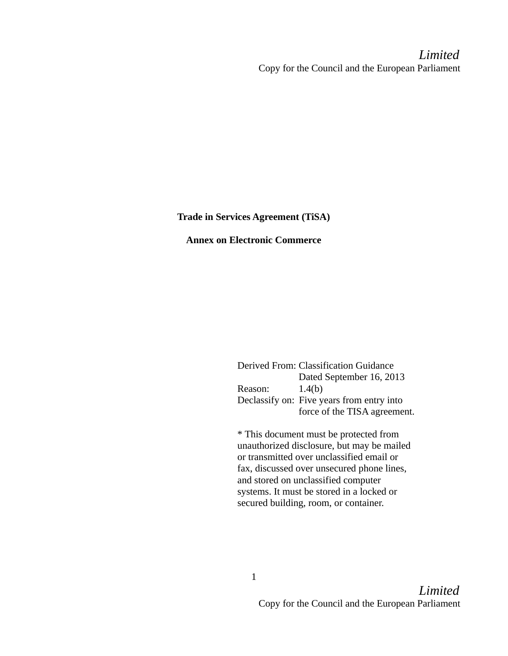Limited Copy for the Council and the European Parliament

Trade in Services Agreement (TiSA)

Annex on Electronic Commerce

Derived From: Classification Guidance Dated September 16, 2013 Reason: 1.4(b) Declassify on: Five years from entry into force of the TISA agreement.

\* This document must be protected from unauthorized disclosure, but may be mailed or transmitted over unclassified email or fax, discussed over unsecured phone lines, and stored on unclassified computer systems. It must be stored in a locked or secured building, room, or container.

1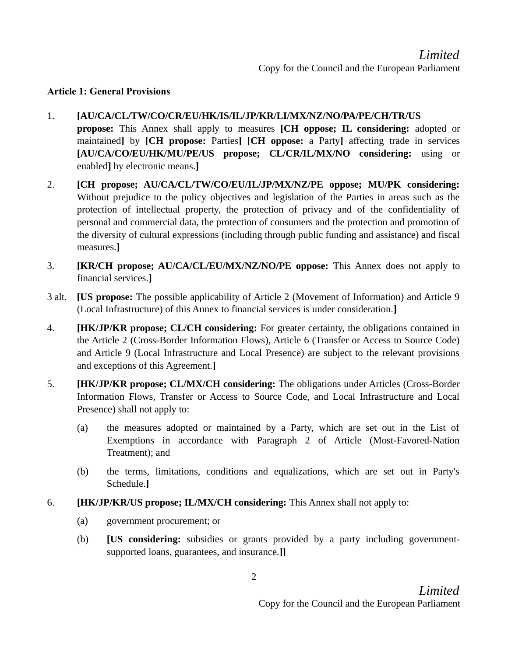#### Article 1: General Provisions

### 1. [AU/CA/CL/TW/CO/CR/EU/HK/IS/IL/JP/KR/LI/MX/NZ/NO/PA/PE/CH/TR/US

- propose: This Annex shall apply to measures [CH oppose; IL considering: adopted or maintained] by [CH propose: Parties] [CH oppose: a Party] affecting trade in services [AU/CA/CO/EU/HK/MU/PE/US propose; CL/CR/IL/MX/NO considering: using or enabled] by electronic means.]
- 2. [CH propose; AU/CA/CL/TW/CO/EU/IL/JP/MX/NZ/PE oppose; MU/PK considering: Without prejudice to the policy objectives and legislation of the Parties in areas such as the protection of intellectual property, the protection of privacy and of the confidentiality of personal and commercial data, the protection of consumers and the protection and promotion of the diversity of cultural expressions (including through public funding and assistance) and fiscal measures.]
- 3. [KR/CH propose; AU/CA/CL/EU/MX/NZ/NO/PE oppose: This Annex does not apply to financial services.]
- 3 alt. [US propose: The possible applicability of Article 2 (Movement of Information) and Article 9 (Local Infrastructure) of this Annex to financial services is under consideration.]
- 4. **[HK/JP/KR propose; CL/CH considering:** For greater certainty, the obligations contained in the Article 2 (Cross-Border Information Flows), Article 6 (Transfer or Access to Source Code) and Article 9 (Local Infrastructure and Local Presence) are subject to the relevant provisions and exceptions of this Agreement.]
- 5. **[HK/JP/KR propose; CL/MX/CH considering:** The obligations under Articles (Cross-Border Information Flows, Transfer or Access to Source Code, and Local Infrastructure and Local Presence) shall not apply to:
	- (a) the measures adopted or maintained by a Party, which are set out in the List of Exemptions in accordance with Paragraph 2 of Article (Most-Favored-Nation Treatment); and
	- (b) the terms, limitations, conditions and equalizations, which are set out in Party's Schedule.]
- 6. [HK/JP/KR/US propose; IL/MX/CH considering: This Annex shall not apply to:
	- (a) government procurement; or
	- (b) [US considering: subsidies or grants provided by a party including governmentsupported loans, guarantees, and insurance.]]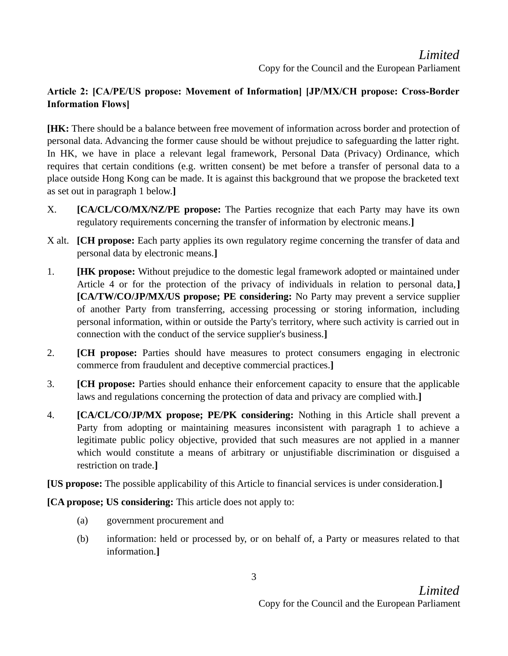# Limited Copy for the Council and the European Parliament

# Article 2: [CA/PE/US propose: Movement of Information] [JP/MX/CH propose: Cross-Border Information Flows]

[HK: There should be a balance between free movement of information across border and protection of personal data. Advancing the former cause should be without prejudice to safeguarding the latter right. In HK, we have in place a relevant legal framework, Personal Data (Privacy) Ordinance, which requires that certain conditions (e.g. written consent) be met before a transfer of personal data to a place outside Hong Kong can be made. It is against this background that we propose the bracketed text as set out in paragraph 1 below.]

- X. **[CA/CL/CO/MX/NZ/PE propose:** The Parties recognize that each Party may have its own regulatory requirements concerning the transfer of information by electronic means.]
- X alt. **[CH propose:** Each party applies its own regulatory regime concerning the transfer of data and personal data by electronic means.]
- 1. **[HK propose:** Without prejudice to the domestic legal framework adopted or maintained under Article 4 or for the protection of the privacy of individuals in relation to personal data, [CA/TW/CO/JP/MX/US propose; PE considering: No Party may prevent a service supplier of another Party from transferring, accessing processing or storing information, including personal information, within or outside the Party's territory, where such activity is carried out in connection with the conduct of the service supplier's business.]
- 2. **[CH propose:** Parties should have measures to protect consumers engaging in electronic commerce from fraudulent and deceptive commercial practices.]
- 3. **[CH propose:** Parties should enhance their enforcement capacity to ensure that the applicable laws and regulations concerning the protection of data and privacy are complied with.]
- 4. **[CA/CL/CO/JP/MX propose; PE/PK considering:** Nothing in this Article shall prevent a Party from adopting or maintaining measures inconsistent with paragraph 1 to achieve a legitimate public policy objective, provided that such measures are not applied in a manner which would constitute a means of arbitrary or unjustifiable discrimination or disguised a restriction on trade.]

[US propose: The possible applicability of this Article to financial services is under consideration.]

[CA propose; US considering: This article does not apply to:

- (a) government procurement and
- (b) information: held or processed by, or on behalf of, a Party or measures related to that information.]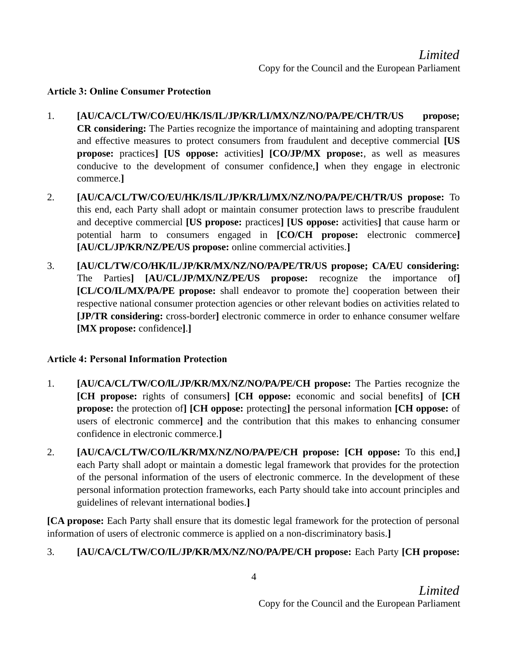## Article 3: Online Consumer Protection

- 1. [AU/CA/CL/TW/CO/EU/HK/IS/IL/JP/KR/LI/MX/NZ/NO/PA/PE/CH/TR/US propose; CR considering: The Parties recognize the importance of maintaining and adopting transparent and effective measures to protect consumers from fraudulent and deceptive commercial [US propose: practices] [US oppose: activities] [CO/JP/MX propose:, as well as measures conducive to the development of consumer confidence,] when they engage in electronic commerce.]
- 2. [AU/CA/CL/TW/CO/EU/HK/IS/IL/JP/KR/Ll/MX/NZ/NO/PA/PE/CH/TR/US propose: To this end, each Party shall adopt or maintain consumer protection laws to prescribe fraudulent and deceptive commercial [US propose: practices] [US oppose: activities] that cause harm or potential harm to consumers engaged in [CO/CH propose: electronic commerce] [AU/CL/JP/KR/NZ/PE/US propose: online commercial activities.]
- 3. [AU/CL/TW/CO/HK/IL/JP/KR/MX/NZ/NO/PA/PE/TR/US propose; CA/EU considering: The Parties] [AU/CL/JP/MX/NZ/PE/US propose: recognize the importance of] [CL/CO/IL/MX/PA/PE propose: shall endeavor to promote the] cooperation between their respective national consumer protection agencies or other relevant bodies on activities related to [JP/TR considering: cross-border] electronic commerce in order to enhance consumer welfare [MX propose: confidence].]

## Article 4: Personal Information Protection

- 1. [AU/CA/CL/TW/CO/lL/JP/KR/MX/NZ/NO/PA/PE/CH propose: The Parties recognize the [CH propose: rights of consumers] [CH oppose: economic and social benefits] of [CH propose: the protection of] [CH oppose: protecting] the personal information [CH oppose: of users of electronic commerce] and the contribution that this makes to enhancing consumer confidence in electronic commerce.]
- 2. [AU/CA/CL/TW/CO/IL/KR/MX/NZ/NO/PA/PE/CH propose: [CH oppose: To this end,] each Party shall adopt or maintain a domestic legal framework that provides for the protection of the personal information of the users of electronic commerce. In the development of these personal information protection frameworks, each Party should take into account principles and guidelines of relevant international bodies.]

[CA propose: Each Party shall ensure that its domestic legal framework for the protection of personal information of users of electronic commerce is applied on a non-discriminatory basis.]

# 3. [AU/CA/CL/TW/CO/IL/JP/KR/MX/NZ/NO/PA/PE/CH propose: Each Party [CH propose: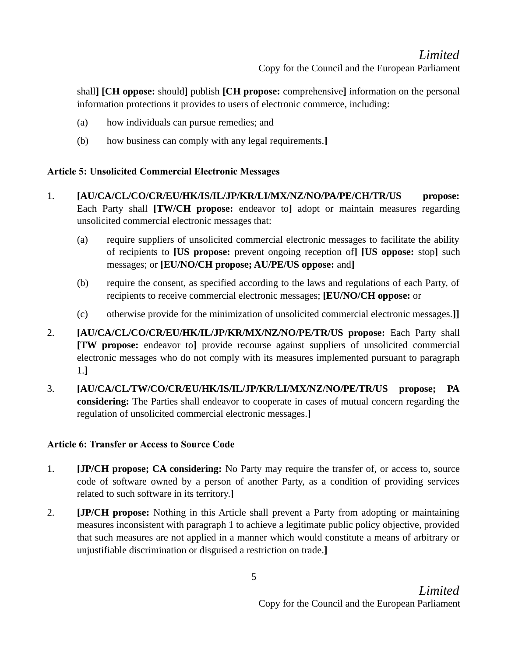# Limited Copy for the Council and the European Parliament

shall] [CH oppose: should] publish [CH propose: comprehensive] information on the personal information protections it provides to users of electronic commerce, including:

- (a) how individuals can pursue remedies; and
- (b) how business can comply with any legal requirements.]

## Article 5: Unsolicited Commercial Electronic Messages

- 1. [AU/CA/CL/CO/CR/EU/HK/IS/IL/JP/KR/LI/MX/NZ/NO/PA/PE/CH/TR/US propose: Each Party shall [TW/CH propose: endeavor to] adopt or maintain measures regarding unsolicited commercial electronic messages that:
	- (a) require suppliers of unsolicited commercial electronic messages to facilitate the ability of recipients to [US propose: prevent ongoing reception of] [US oppose: stop] such messages; or [EU/NO/CH propose; AU/PE/US oppose: and]
	- (b) require the consent, as specified according to the laws and regulations of each Party, of recipients to receive commercial electronic messages; [EU/NO/CH oppose: or
	- (c) otherwise provide for the minimization of unsolicited commercial electronic messages.]]
- 2. [AU/CA/CL/CO/CR/EU/HK/IL/JP/KR/MX/NZ/NO/PE/TR/US propose: Each Party shall [TW propose: endeavor to] provide recourse against suppliers of unsolicited commercial electronic messages who do not comply with its measures implemented pursuant to paragraph 1.]
- 3. [AU/CA/CL/TW/CO/CR/EU/HK/IS/IL/JP/KR/LI/MX/NZ/NO/PE/TR/US propose; PA considering: The Parties shall endeavor to cooperate in cases of mutual concern regarding the regulation of unsolicited commercial electronic messages.]

## Article 6: Transfer or Access to Source Code

- 1. **[JP/CH propose; CA considering:** No Party may require the transfer of, or access to, source code of software owned by a person of another Party, as a condition of providing services related to such software in its territory.]
- 2. **[JP/CH propose:** Nothing in this Article shall prevent a Party from adopting or maintaining measures inconsistent with paragraph 1 to achieve a legitimate public policy objective, provided that such measures are not applied in a manner which would constitute a means of arbitrary or unjustifiable discrimination or disguised a restriction on trade.]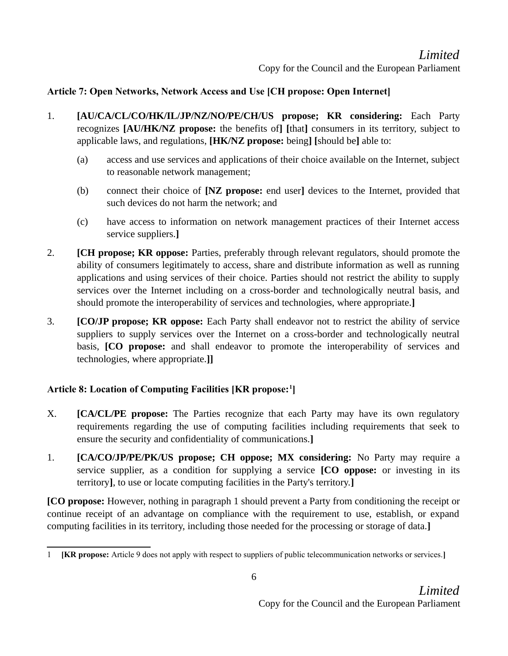## Article 7: Open Networks, Network Access and Use [CH propose: Open Internet]

- 1. [AU/CA/CL/CO/HK/IL/JP/NZ/NO/PE/CH/US propose; KR considering: Each Party recognizes [AU/HK/NZ propose: the benefits of] [that] consumers in its territory, subject to applicable laws, and regulations, [HK/NZ propose: being] [should be] able to:
	- (a) access and use services and applications of their choice available on the Internet, subject to reasonable network management;
	- (b) connect their choice of [NZ propose: end user] devices to the Internet, provided that such devices do not harm the network; and
	- (c) have access to information on network management practices of their Internet access service suppliers.]
- 2. **[CH propose; KR oppose:** Parties, preferably through relevant regulators, should promote the ability of consumers legitimately to access, share and distribute information as well as running applications and using services of their choice. Parties should not restrict the ability to supply services over the Internet including on a cross-border and technologically neutral basis, and should promote the interoperability of services and technologies, where appropriate.]
- 3. **[CO/JP propose; KR oppose:** Each Party shall endeavor not to restrict the ability of service suppliers to supply services over the Internet on a cross-border and technologically neutral basis, [CO propose: and shall endeavor to promote the interoperability of services and technologies, where appropriate.]]

## Article 8: Location of Computing Facilities [KR propose:<sup>1</sup>]

- X. **[CA/CL/PE propose:** The Parties recognize that each Party may have its own regulatory requirements regarding the use of computing facilities including requirements that seek to ensure the security and confidentiality of communications.]
- 1. [CA/CO/JP/PE/PK/US propose; CH oppose; MX considering: No Party may require a service supplier, as a condition for supplying a service **[CO oppose:** or investing in its territory], to use or locate computing facilities in the Party's territory.]

[CO propose: However, nothing in paragraph 1 should prevent a Party from conditioning the receipt or continue receipt of an advantage on compliance with the requirement to use, establish, or expand computing facilities in its territory, including those needed for the processing or storage of data.]

<sup>1</sup> [KR propose: Article 9 does not apply with respect to suppliers of public telecommunication networks or services.]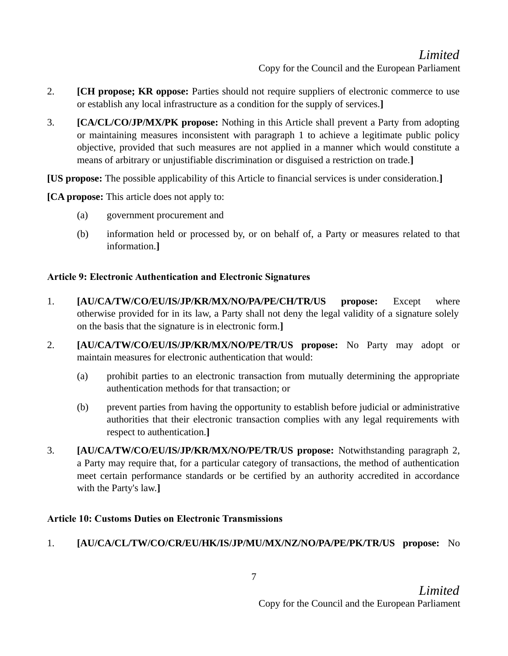- 2. **[CH propose; KR oppose:** Parties should not require suppliers of electronic commerce to use or establish any local infrastructure as a condition for the supply of services.]
- 3. **[CA/CL/CO/JP/MX/PK propose:** Nothing in this Article shall prevent a Party from adopting or maintaining measures inconsistent with paragraph 1 to achieve a legitimate public policy objective, provided that such measures are not applied in a manner which would constitute a means of arbitrary or unjustifiable discrimination or disguised a restriction on trade.]

[US propose: The possible applicability of this Article to financial services is under consideration.]

[CA propose: This article does not apply to:

- (a) government procurement and
- (b) information held or processed by, or on behalf of, a Party or measures related to that information.]

## Article 9: Electronic Authentication and Electronic Signatures

- 1. [AU/CA/TW/CO/EU/IS/JP/KR/MX/NO/PA/PE/CH/TR/US propose: Except where otherwise provided for in its law, a Party shall not deny the legal validity of a signature solely on the basis that the signature is in electronic form.]
- 2. [AU/CA/TW/CO/EU/IS/JP/KR/MX/NO/PE/TR/US propose: No Party may adopt or maintain measures for electronic authentication that would:
	- (a) prohibit parties to an electronic transaction from mutually determining the appropriate authentication methods for that transaction; or
	- (b) prevent parties from having the opportunity to establish before judicial or administrative authorities that their electronic transaction complies with any legal requirements with respect to authentication.]
- 3. [AU/CA/TW/CO/EU/IS/JP/KR/MX/NO/PE/TR/US propose: Notwithstanding paragraph 2, a Party may require that, for a particular category of transactions, the method of authentication meet certain performance standards or be certified by an authority accredited in accordance with the Party's law.]

## Article 10: Customs Duties on Electronic Transmissions

# 1. [AU/CA/CL/TW/CO/CR/EU/HK/IS/JP/MU/MX/NZ/NO/PA/PE/PK/TR/US propose: No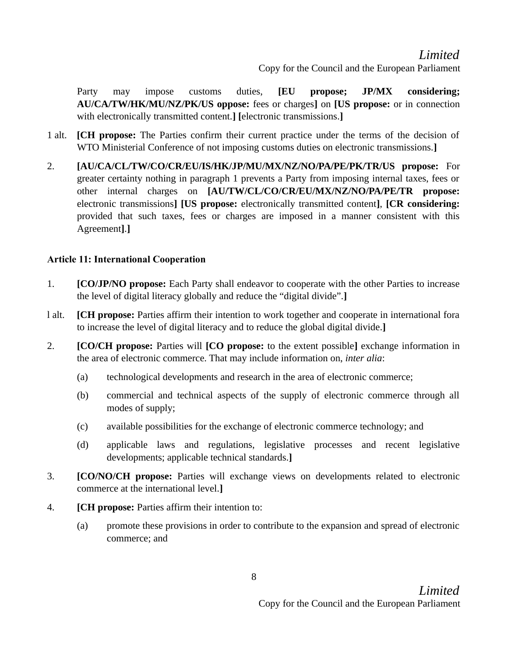# Limited

Copy for the Council and the European Parliament

Party may impose customs duties, [EU propose; JP/MX considering; AU/CA/TW/HK/MU/NZ/PK/US oppose: fees or charges] on [US propose: or in connection with electronically transmitted content.] [electronic transmissions.]

- 1 alt. [CH propose: The Parties confirm their current practice under the terms of the decision of WTO Ministerial Conference of not imposing customs duties on electronic transmissions.]
- 2. [AU/CA/CL/TW/CO/CR/EU/IS/HK/JP/MU/MX/NZ/NO/PA/PE/PK/TR/US propose: For greater certainty nothing in paragraph 1 prevents a Party from imposing internal taxes, fees or other internal charges on [AU/TW/CL/CO/CR/EU/MX/NZ/NO/PA/PE/TR propose: electronic transmissions] [US propose: electronically transmitted content], [CR considering: provided that such taxes, fees or charges are imposed in a manner consistent with this Agreement].]

#### Article 11: International Cooperation

- 1. **[CO/JP/NO propose:** Each Party shall endeavor to cooperate with the other Parties to increase the level of digital literacy globally and reduce the "digital divide".]
- l alt. [CH propose: Parties affirm their intention to work together and cooperate in international fora to increase the level of digital literacy and to reduce the global digital divide.]
- 2. **[CO/CH propose:** Parties will **[CO propose:** to the extent possible] exchange information in the area of electronic commerce. That may include information on, inter alia:
	- (a) technological developments and research in the area of electronic commerce;
	- (b) commercial and technical aspects of the supply of electronic commerce through all modes of supply;
	- (c) available possibilities for the exchange of electronic commerce technology; and
	- (d) applicable laws and regulations, legislative processes and recent legislative developments; applicable technical standards.]
- 3. [CO/NO/CH propose: Parties will exchange views on developments related to electronic commerce at the international level.]
- 4. **[CH propose:** Parties affirm their intention to:
	- (a) promote these provisions in order to contribute to the expansion and spread of electronic commerce; and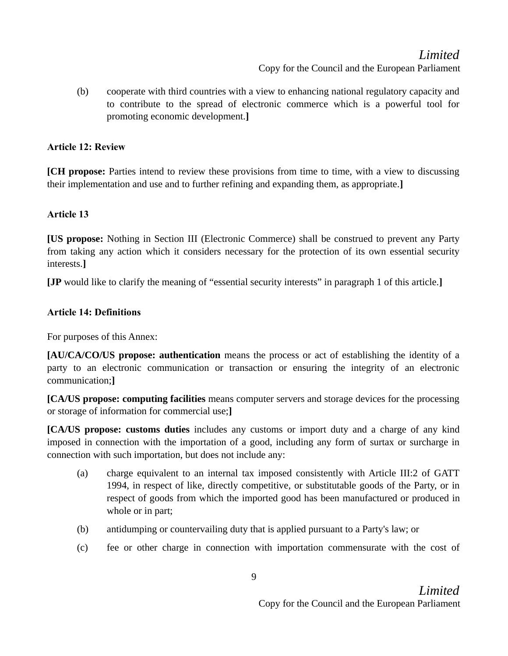# Limited

Copy for the Council and the European Parliament

(b) cooperate with third countries with a view to enhancing national regulatory capacity and to contribute to the spread of electronic commerce which is a powerful tool for promoting economic development.]

### Article 12: Review

[CH propose: Parties intend to review these provisions from time to time, with a view to discussing their implementation and use and to further refining and expanding them, as appropriate.]

### Article 13

[US propose: Nothing in Section III (Electronic Commerce) shall be construed to prevent any Party from taking any action which it considers necessary for the protection of its own essential security interests.]

[JP would like to clarify the meaning of "essential security interests" in paragraph 1 of this article.]

### Article 14: Definitions

For purposes of this Annex:

[AU/CA/CO/US propose: authentication means the process or act of establishing the identity of a party to an electronic communication or transaction or ensuring the integrity of an electronic communication;]

[CA/US propose: computing facilities means computer servers and storage devices for the processing or storage of information for commercial use;]

[CA/US propose: customs duties includes any customs or import duty and a charge of any kind imposed in connection with the importation of a good, including any form of surtax or surcharge in connection with such importation, but does not include any:

- (a) charge equivalent to an internal tax imposed consistently with Article III:2 of GATT 1994, in respect of like, directly competitive, or substitutable goods of the Party, or in respect of goods from which the imported good has been manufactured or produced in whole or in part;
- (b) antidumping or countervailing duty that is applied pursuant to a Party's law; or
- (c) fee or other charge in connection with importation commensurate with the cost of